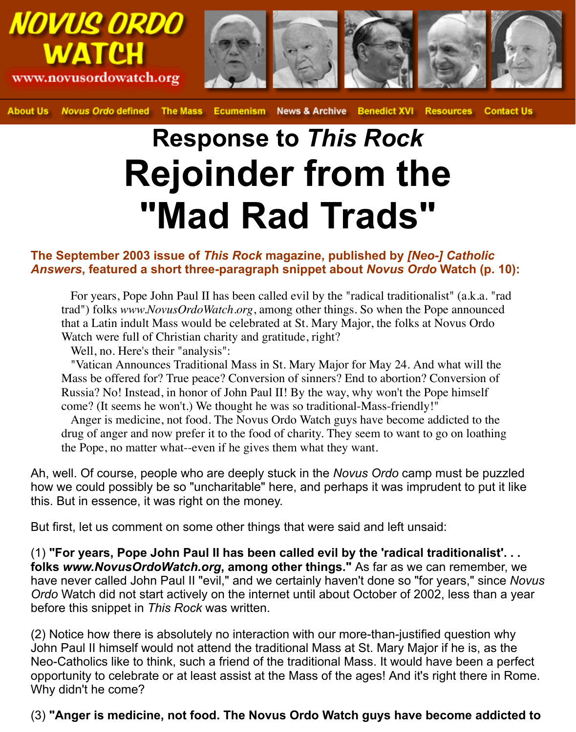

**Novus Ordo defined The Mass News & Archive Benedict XVI Resources Contact Us About Us Ecumenism** 

## **Response to** *This Rock* **Rejoinder from the "Mad Rad Trads"**

## **The September 2003 issue of** *This Rock* **magazine, published by** *[Neo-] Catholic Answers***, featured a short three-paragraph snippet about** *Novus Ordo* **Watch (p. 10):**

 For years, Pope John Paul II has been called evil by the "radical traditionalist" (a.k.a. "rad trad") folks *www.NovusOrdoWatch.org*, among other things. So when the Pope announced that a Latin indult Mass would be celebrated at St. Mary Major, the folks at Novus Ordo Watch were full of Christian charity and gratitude, right?

Well, no. Here's their "analysis":

 "Vatican Announces Traditional Mass in St. Mary Major for May 24. And what will the Mass be offered for? True peace? Conversion of sinners? End to abortion? Conversion of Russia? No! Instead, in honor of John Paul II! By the way, why won't the Pope himself come? (It seems he won't.) We thought he was so traditional-Mass-friendly!"

 Anger is medicine, not food. The Novus Ordo Watch guys have become addicted to the drug of anger and now prefer it to the food of charity. They seem to want to go on loathing the Pope, no matter what--even if he gives them what they want.

Ah, well. Of course, people who are deeply stuck in the *Novus Ordo* camp must be puzzled how we could possibly be so "uncharitable" here, and perhaps it was imprudent to put it like this. But in essence, it was right on the money.

But first, let us comment on some other things that were said and left unsaid:

(1) **"For years, Pope John Paul II has been called evil by the 'radical traditionalist'. . . folks** *www.NovusOrdoWatch.org***, among other things."** As far as we can remember, we have never called John Paul II "evil," and we certainly haven't done so "for years," since *Novus Ordo* Watch did not start actively on the internet until about October of 2002, less than a year before this snippet in *This Rock* was written.

(2) Notice how there is absolutely no interaction with our more-than-justified question why John Paul II himself would not attend the traditional Mass at St. Mary Major if he is, as the Neo-Catholics like to think, such a friend of the traditional Mass. It would have been a perfect opportunity to celebrate or at least assist at the Mass of the ages! And it's right there in Rome. Why didn't he come?

(3) **"Anger is medicine, not food. The Novus Ordo Watch guys have become addicted to**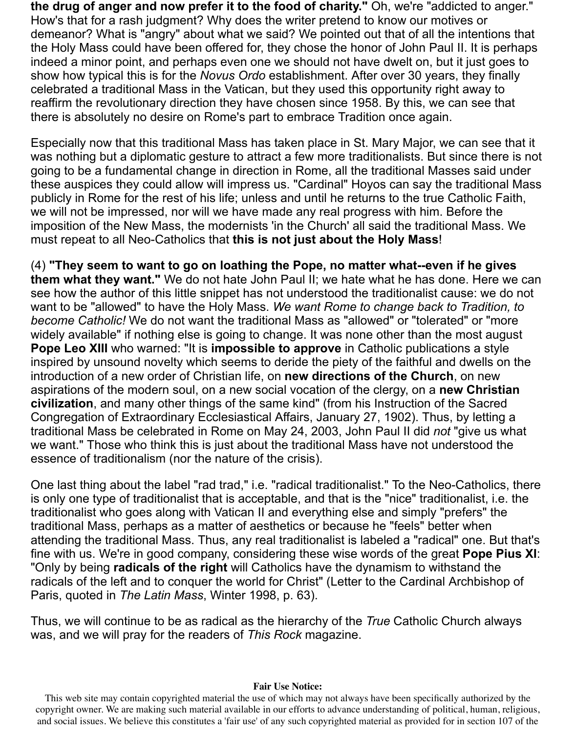**the drug of anger and now prefer it to the food of charity."** Oh, we're "addicted to anger." How's that for a rash judgment? Why does the writer pretend to know our motives or demeanor? What is "angry" about what we said? We pointed out that of all the intentions that the Holy Mass could have been offered for, they chose the honor of John Paul II. It is perhaps indeed a minor point, and perhaps even one we should not have dwelt on, but it just goes to show how typical this is for the *Novus Ordo* establishment. After over 30 years, they finally celebrated a traditional Mass in the Vatican, but they used this opportunity right away to reaffirm the revolutionary direction they have chosen since 1958. By this, we can see that there is absolutely no desire on Rome's part to embrace Tradition once again.

Especially now that this traditional Mass has taken place in St. Mary Major, we can see that it was nothing but a diplomatic gesture to attract a few more traditionalists. But since there is not going to be a fundamental change in direction in Rome, all the traditional Masses said under these auspices they could allow will impress us. "Cardinal" Hoyos can say the traditional Mass publicly in Rome for the rest of his life; unless and until he returns to the true Catholic Faith, we will not be impressed, nor will we have made any real progress with him. Before the imposition of the New Mass, the modernists 'in the Church' all said the traditional Mass. We must repeat to all Neo-Catholics that **this is not just about the Holy Mass**!

(4) **"They seem to want to go on loathing the Pope, no matter what--even if he gives them what they want."** We do not hate John Paul II; we hate what he has done. Here we can see how the author of this little snippet has not understood the traditionalist cause: we do not want to be "allowed" to have the Holy Mass. *We want Rome to change back to Tradition, to become Catholic!* We do not want the traditional Mass as "allowed" or "tolerated" or "more widely available" if nothing else is going to change. It was none other than the most august **Pope Leo XIII** who warned: "It is **impossible to approve** in Catholic publications a style inspired by unsound novelty which seems to deride the piety of the faithful and dwells on the introduction of a new order of Christian life, on **new directions of the Church**, on new aspirations of the modern soul, on a new social vocation of the clergy, on a **new Christian civilization**, and many other things of the same kind" (from his Instruction of the Sacred Congregation of Extraordinary Ecclesiastical Affairs, January 27, 1902). Thus, by letting a traditional Mass be celebrated in Rome on May 24, 2003, John Paul II did *not* "give us what we want." Those who think this is just about the traditional Mass have not understood the essence of traditionalism (nor the nature of the crisis).

One last thing about the label "rad trad," i.e. "radical traditionalist." To the Neo-Catholics, there is only one type of traditionalist that is acceptable, and that is the "nice" traditionalist, i.e. the traditionalist who goes along with Vatican II and everything else and simply "prefers" the traditional Mass, perhaps as a matter of aesthetics or because he "feels" better when attending the traditional Mass. Thus, any real traditionalist is labeled a "radical" one. But that's fine with us. We're in good company, considering these wise words of the great **Pope Pius XI**: "Only by being **radicals of the right** will Catholics have the dynamism to withstand the radicals of the left and to conquer the world for Christ" (Letter to the Cardinal Archbishop of Paris, quoted in *The Latin Mass*, Winter 1998, p. 63).

Thus, we will continue to be as radical as the hierarchy of the *True* Catholic Church always was, and we will pray for the readers of *This Rock* magazine.

## **Fair Use Notice:**

This web site may contain copyrighted material the use of which may not always have been specifically authorized by the copyright owner. We are making such material available in our efforts to advance understanding of political, human, religious, and social issues. We believe this constitutes a 'fair use' of any such copyrighted material as provided for in section 107 of the